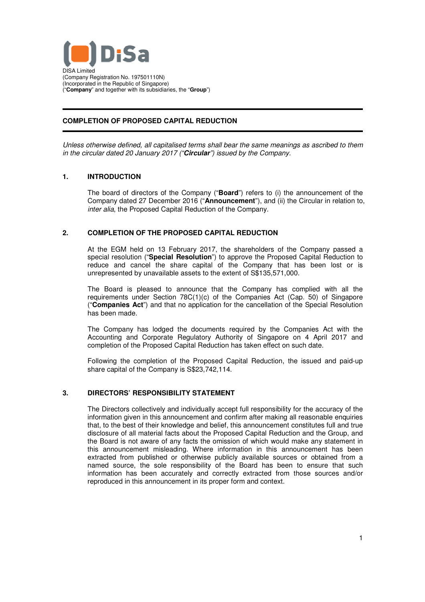

# **COMPLETION OF PROPOSED CAPITAL REDUCTION**

Unless otherwise defined, all capitalised terms shall bear the same meanings as ascribed to them in the circular dated 20 January 2017 ("**Circular**") issued by the Company.

## **1. INTRODUCTION**

The board of directors of the Company ("**Board**") refers to (i) the announcement of the Company dated 27 December 2016 ("**Announcement**"), and (ii) the Circular in relation to, inter alia, the Proposed Capital Reduction of the Company.

## **2. COMPLETION OF THE PROPOSED CAPITAL REDUCTION**

At the EGM held on 13 February 2017, the shareholders of the Company passed a special resolution ("**Special Resolution**") to approve the Proposed Capital Reduction to reduce and cancel the share capital of the Company that has been lost or is unrepresented by unavailable assets to the extent of S\$135,571,000.

The Board is pleased to announce that the Company has complied with all the requirements under Section 78C(1)(c) of the Companies Act (Cap. 50) of Singapore ("**Companies Act**") and that no application for the cancellation of the Special Resolution has been made.

The Company has lodged the documents required by the Companies Act with the Accounting and Corporate Regulatory Authority of Singapore on 4 April 2017 and completion of the Proposed Capital Reduction has taken effect on such date.

Following the completion of the Proposed Capital Reduction, the issued and paid-up share capital of the Company is S\$23,742,114.

### **3. DIRECTORS' RESPONSIBILITY STATEMENT**

The Directors collectively and individually accept full responsibility for the accuracy of the information given in this announcement and confirm after making all reasonable enquiries that, to the best of their knowledge and belief, this announcement constitutes full and true disclosure of all material facts about the Proposed Capital Reduction and the Group, and the Board is not aware of any facts the omission of which would make any statement in this announcement misleading. Where information in this announcement has been extracted from published or otherwise publicly available sources or obtained from a named source, the sole responsibility of the Board has been to ensure that such information has been accurately and correctly extracted from those sources and/or reproduced in this announcement in its proper form and context.